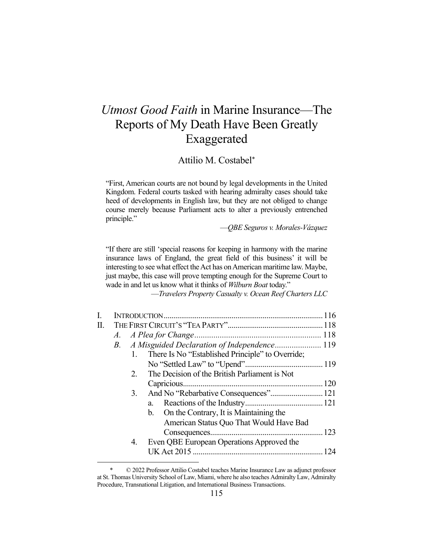# *Utmost Good Faith* in Marine Insurance—The Reports of My Death Have Been Greatly Exaggerated

# Attilio M. Costabel\*

"First, American courts are not bound by legal developments in the United Kingdom. Federal courts tasked with hearing admiralty cases should take heed of developments in English law, but they are not obliged to change course merely because Parliament acts to alter a previously entrenched principle."

—*QBE Seguros v. Morales-Vázquez*

"If there are still 'special reasons for keeping in harmony with the marine insurance laws of England, the great field of this business' it will be interesting to see what effect the Act has on American maritime law. Maybe, just maybe, this case will prove tempting enough for the Supreme Court to wade in and let us know what it thinks of *Wilburn Boat* today."

—*Travelers Property Casualty v. Ocean Reef Charters LLC*

| П. |  |    |                                                  |  |
|----|--|----|--------------------------------------------------|--|
|    |  |    |                                                  |  |
|    |  |    |                                                  |  |
|    |  | 1. | There Is No "Established Principle" to Override; |  |
|    |  |    |                                                  |  |
|    |  | 2. | The Decision of the British Parliament is Not    |  |
|    |  |    |                                                  |  |
|    |  | 3. |                                                  |  |
|    |  |    |                                                  |  |
|    |  |    | b. On the Contrary, It is Maintaining the        |  |
|    |  |    | American Status Quo That Would Have Bad          |  |
|    |  |    |                                                  |  |
|    |  | 4. | Even QBE European Operations Approved the        |  |
|    |  |    |                                                  |  |
|    |  |    |                                                  |  |

<sup>© 2022</sup> Professor Attilio Costabel teaches Marine Insurance Law as adjunct professor at St. Thomas University School of Law, Miami, where he also teaches Admiralty Law, Admiralty Procedure, Transnational Litigation, and International Business Transactions.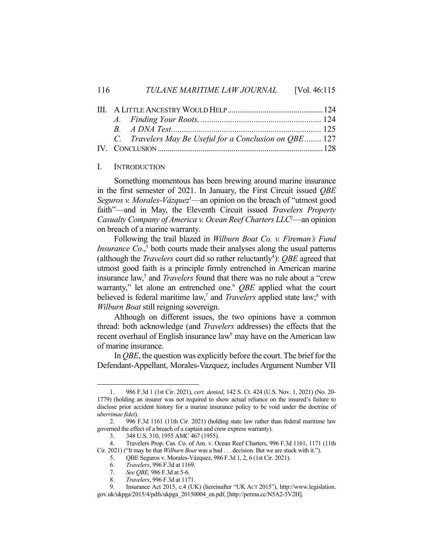#### 116 *TULANE MARITIME LAW JOURNAL* [Vol. 46:115]

|  | C. Travelers May Be Useful for a Conclusion on OBE 127 |  |
|--|--------------------------------------------------------|--|
|  |                                                        |  |

#### I. INTRODUCTION

Something momentous has been brewing around marine insurance in the first semester of 2021. In January, the First Circuit issued *QBE*  Seguros v. Morales-Vázquez<sup>1</sup>—an opinion on the breach of "utmost good faith"—and in May, the Eleventh Circuit issued *Travelers Property*  Casualty Company of America v. Ocean Reef Charters LLC<sup>2</sup>—an opinion on breach of a marine warranty.

Following the trail blazed in *Wilburn Boat Co. v. Fireman's Fund Insurance Co.*, $3$  both courts made their analyses along the usual patterns (although the *Travelers* court did so rather reluctantly<sup>4</sup>): *QBE* agreed that utmost good faith is a principle firmly entrenched in American marine insurance law,<sup>5</sup> and *Travelers* found that there was no rule about a "crew" warranty," let alone an entrenched one.<sup>6</sup> *OBE* applied what the court believed is federal maritime law,<sup>7</sup> and *Travelers* applied state law;<sup>8</sup> with *Wilburn Boat* still reigning sovereign.

Although on different issues, the two opinions have a common thread: both acknowledge (and *Travelers* addresses) the effects that the recent overhaul of English insurance law<sup>9</sup> may have on the American law of marine insurance.

In *QBE*, the question was explicitly before the court. The brief for the Defendant-Appellant, Morales-Vazquez, includes Argument Number VII

<sup>1.</sup> 986 F.3d 1 (1st Cir. 2021), *cert. denied*, 142 S. Ct. 424 (U.S. Nov. 1, 2021) (No. 20- 1779) (holding an insurer was not required to show actual reliance on the insured's failure to disclose prior accident history for a marine insurance policy to be void under the doctrine of *uberrimae fidei*).

<sup>2.</sup> 996 F.3d 1161 (11th Cir. 2021) (holding state law rather than federal maritime law governed the effect of a breach of a captain and crew express warranty).

<sup>3.</sup> 348 U.S. 310, 1955 AMC 467 (1955).

<sup>4.</sup> Travelers Prop. Cas. Co. of Am. v. Ocean Reef Charters, 996 F.3d 1161, 1171 (11th Cir. 2021) ("It may be that *Wilburn Boat* was a bad . . . decision. But we are stuck with it.").

<sup>5.</sup> QBE Seguros v. Morales-Vázquez, 986 F.3d 1, 2, 6 (1st Cir. 2021).

<sup>6.</sup> *Travelers*, 996 F.3d at 1169.

<sup>7.</sup> *See QBE,* 986 F.3d at 5-6*.*

<sup>8.</sup> *Travelers*, 996 F.3d at 1171.

<sup>9.</sup> Insurance Act 2015, c.4 (UK) (hereinafter "UK ACT 2015"), http://www.legislation. gov.uk/ukpga/2015/4/pdfs/ukpga\_20150004\_en.pdf, [http://perma.cc/N5A2-5V2H].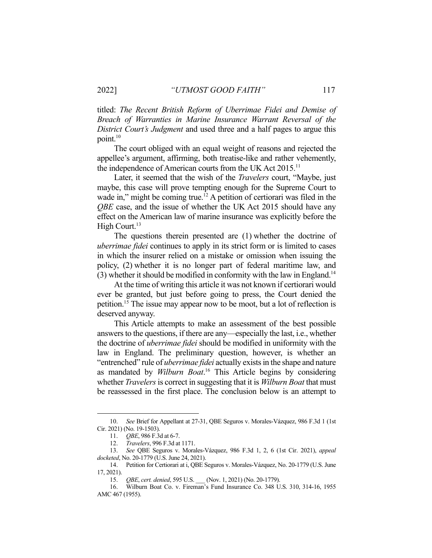titled: *The Recent British Reform of Uberrimae Fidei and Demise of Breach of Warranties in Marine Insurance Warrant Reversal of the District Court's Judgment* and used three and a half pages to argue this point. $10$ 

The court obliged with an equal weight of reasons and rejected the appellee's argument, affirming, both treatise-like and rather vehemently, the independence of American courts from the UK Act 2015.<sup>11</sup>

Later, it seemed that the wish of the *Travelers* court, "Maybe, just maybe, this case will prove tempting enough for the Supreme Court to wade in," might be coming true.<sup>12</sup> A petition of certiorari was filed in the *QBE* case, and the issue of whether the UK Act 2015 should have any effect on the American law of marine insurance was explicitly before the High Court. $13$ 

The questions therein presented are (1) whether the doctrine of *uberrimae fidei* continues to apply in its strict form or is limited to cases in which the insurer relied on a mistake or omission when issuing the policy, (2) whether it is no longer part of federal maritime law, and (3) whether it should be modified in conformity with the law in England. 14

At the time of writing this article it was not known if certiorari would ever be granted, but just before going to press, the Court denied the petition.15 The issue may appear now to be moot, but a lot of reflection is deserved anyway.

This Article attempts to make an assessment of the best possible answers to the questions, if there are any—especially the last, i.e., whether the doctrine of *uberrimae fidei* should be modified in uniformity with the law in England. The preliminary question, however, is whether an "entrenched" rule of *uberrimae fidei* actually exists in the shape and nature as mandated by *Wilburn Boat*. <sup>16</sup> This Article begins by considering whether *Travelers*is correct in suggesting that it is *Wilburn Boat* that must be reassessed in the first place. The conclusion below is an attempt to

<sup>10.</sup> *See* Brief for Appellant at 27-31, QBE Seguros v. Morales-Vázquez, 986 F.3d 1 (1st Cir. 2021) (No. 19-1503).<br>11. *QBE*, 986 F.30

QBE, 986 F.3d at 6-7.

<sup>12.</sup> *Travelers*, 996 F.3d at 1171.

<sup>13.</sup> *See* QBE Seguros v. Morales-Vázquez, 986 F.3d 1, 2, 6 (1st Cir. 2021), *appeal docketed*, No. 20-1779 (U.S. June 24, 2021).

<sup>14.</sup> Petition for Certiorari at i, QBE Seguros v. Morales-Vázquez, No. 20-1779 (U.S. June 17, 2021).

<sup>15.</sup> *QBE*, *cert. denied*, 595 U.S. \_\_\_ (Nov. 1, 2021) (No. 20-1779).

<sup>16.</sup> Wilburn Boat Co. v. Fireman's Fund Insurance Co. 348 U.S. 310, 314-16, 1955 AMC 467 (1955).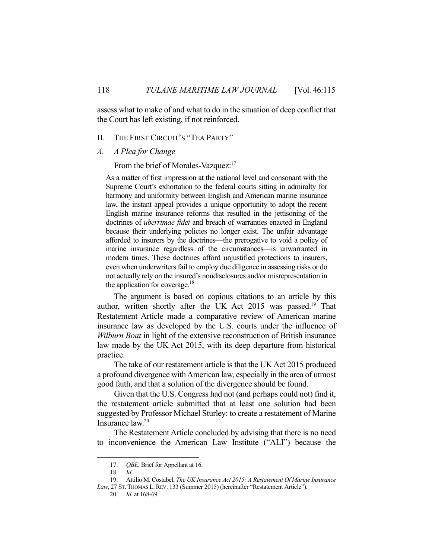assess what to make of and what to do in the situation of deep conflict that the Court has left existing, if not reinforced.

# II. THE FIRST CIRCUIT'S "TEA PARTY"

*A. A Plea for Change*

From the brief of Morales-Vazquez:<sup>17</sup>

As a matter of first impression at the national level and consonant with the Supreme Court's exhortation to the federal courts sitting in admiralty for harmony and uniformity between English and American marine insurance law, the instant appeal provides a unique opportunity to adopt the recent English marine insurance reforms that resulted in the jettisoning of the doctrines of *uberrimae fidei* and breach of warranties enacted in England because their underlying policies no longer exist. The unfair advantage afforded to insurers by the doctrines—the prerogative to void a policy of marine insurance regardless of the circumstances—is unwarranted in modern times. These doctrines afford unjustified protections to insurers, even when underwriters fail to employ due diligence in assessing risks or do not actually rely on the insured's nondisclosures and/or misrepresentation in the application for coverage.<sup>18</sup>

The argument is based on copious citations to an article by this author, written shortly after the UK Act 2015 was passed.<sup>19</sup> That Restatement Article made a comparative review of American marine insurance law as developed by the U.S. courts under the influence of *Wilburn Boat* in light of the extensive reconstruction of British insurance law made by the UK Act 2015, with its deep departure from historical practice.

The take of our restatement article is that the UK Act 2015 produced a profound divergence with American law, especially in the area of utmost good faith, and that a solution of the divergence should be found.

Given that the U.S. Congress had not (and perhaps could not) find it, the restatement article submitted that at least one solution had been suggested by Professor Michael Sturley: to create a restatement of Marine Insurance law.20

The Restatement Article concluded by advising that there is no need to inconvenience the American Law Institute ("ALI") because the

<sup>17.</sup> *QBE*, Brief for Appellant at 16.

<sup>18.</sup> *Id.*

<sup>19.</sup> Attilio M. Costabel, *The UK Insurance Act 2015: A Restatement Of Marine Insurance*  Law, 27 ST. THOMAS L. REV. 133 (Summer 2015) (hereinafter "Restatement Article").

<sup>20.</sup> *Id.* at 168-69.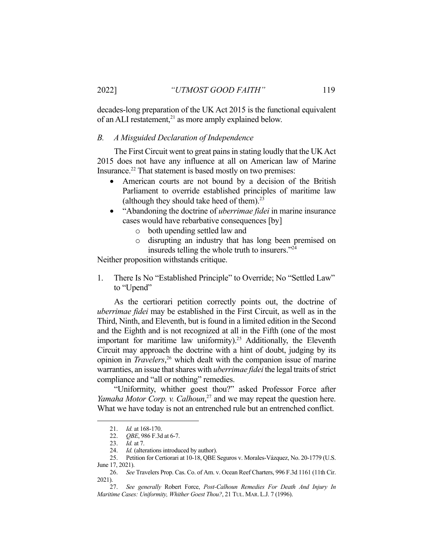decades-long preparation of the UK Act 2015 is the functional equivalent of an ALI restatement,<sup>21</sup> as more amply explained below.

# *B. A Misguided Declaration of Independence*

The First Circuit went to great pains in stating loudly that the UK Act 2015 does not have any influence at all on American law of Marine Insurance.<sup>22</sup> That statement is based mostly on two premises:

- American courts are not bound by a decision of the British Parliament to override established principles of maritime law (although they should take heed of them). $^{23}$
- "Abandoning the doctrine of *uberrimae fidei* in marine insurance cases would have rebarbative consequences [by]
	- o both upending settled law and
	- o disrupting an industry that has long been premised on insureds telling the whole truth to insurers."24

Neither proposition withstands critique.

1. There Is No "Established Principle" to Override; No "Settled Law" to "Upend"

As the certiorari petition correctly points out, the doctrine of *uberrimae fidei* may be established in the First Circuit, as well as in the Third, Ninth, and Eleventh, but is found in a limited edition in the Second and the Eighth and is not recognized at all in the Fifth (one of the most important for maritime law uniformity).<sup>25</sup> Additionally, the Eleventh Circuit may approach the doctrine with a hint of doubt, judging by its opinion in *Travelers*, <sup>26</sup> which dealt with the companion issue of marine warranties, an issue that shares with *uberrimae fidei* the legal traits of strict compliance and "all or nothing" remedies.

"Uniformity, whither goest thou?" asked Professor Force after *Yamaha Motor Corp. v. Calhoun*, <sup>27</sup> and we may repeat the question here. What we have today is not an entrenched rule but an entrenched conflict.

<sup>21.</sup> *Id.* at 168-170.

<sup>22.</sup> *QBE*, 986 F.3d at 6-7.

<sup>23.</sup> *Id.* at 7.

<sup>24.</sup> *Id.* (alterations introduced by author).<br>25. Petition for Certiorari at 10-18, OBE 9.

<sup>25.</sup> Petition for Certiorari at 10-18, QBE Seguros v. Morales-Vázquez, No. 20-1779 (U.S. June 17, 2021).

<sup>26.</sup> *See* Travelers Prop. Cas. Co. of Am. v. Ocean Reef Charters, 996 F.3d 1161 (11th Cir. 2021).

<sup>27.</sup> *See generally* Robert Force, *Post-Calhoun Remedies For Death And Injury In Maritime Cases: Uniformity, Whither Goest Thou?*, 21 TUL. MAR. L.J. 7 (1996).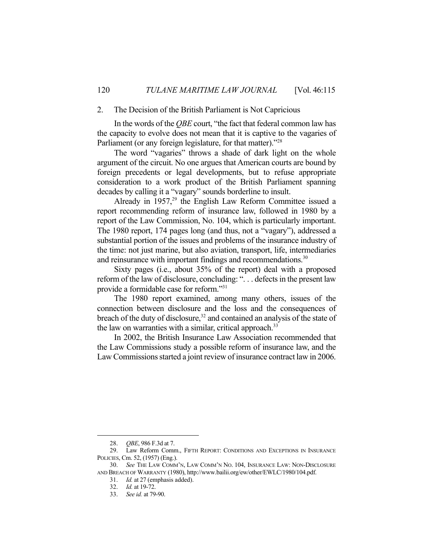#### 2. The Decision of the British Parliament is Not Capricious

In the words of the *QBE* court, "the fact that federal common law has the capacity to evolve does not mean that it is captive to the vagaries of Parliament (or any foreign legislature, for that matter)."<sup>28</sup>

The word "vagaries" throws a shade of dark light on the whole argument of the circuit. No one argues that American courts are bound by foreign precedents or legal developments, but to refuse appropriate consideration to a work product of the British Parliament spanning decades by calling it a "vagary" sounds borderline to insult.

Already in  $1957$ ,<sup>29</sup> the English Law Reform Committee issued a report recommending reform of insurance law, followed in 1980 by a report of the Law Commission, No. 104, which is particularly important. The 1980 report, 174 pages long (and thus, not a "vagary"), addressed a substantial portion of the issues and problems of the insurance industry of the time: not just marine, but also aviation, transport, life, intermediaries and reinsurance with important findings and recommendations.<sup>30</sup>

Sixty pages (i.e., about 35% of the report) deal with a proposed reform of the law of disclosure, concluding: ". . . defects in the present law provide a formidable case for reform."31

The 1980 report examined, among many others, issues of the connection between disclosure and the loss and the consequences of breach of the duty of disclosure,<sup>32</sup> and contained an analysis of the state of the law on warranties with a similar, critical approach.<sup>33</sup>

In 2002, the British Insurance Law Association recommended that the Law Commissions study a possible reform of insurance law, and the Law Commissions started a joint review of insurance contract law in 2006.

<sup>28.</sup> *QBE*, 986 F.3d at 7.

<sup>29.</sup> Law Reform Comm., FIFTH REPORT: CONDITIONS AND EXCEPTIONS IN INSURANCE POLICIES, Cm. 52, (1957) (Eng.).

<sup>30.</sup> *See* THE LAW COMM'N, LAW COMM'N NO. 104, INSURANCE LAW: NON-DISCLOSURE AND BREACH OF WARRANTY (1980), http://www.bailii.org/ew/other/EWLC/1980/104.pdf.

<sup>31.</sup> *Id.* at 27 (emphasis added).

<sup>32.</sup> *Id.* at 19-72.

<sup>33.</sup> *See id.* at 79-90.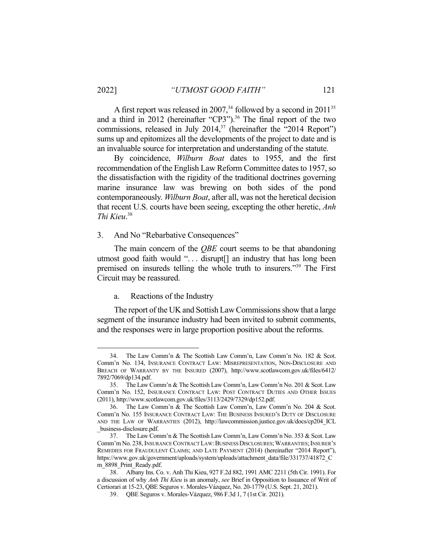A first report was released in 2007,  $34$  followed by a second in 2011 $35$ and a third in 2012 (hereinafter "CP3").<sup>36</sup> The final report of the two commissions, released in July 2014,<sup>37</sup> (hereinafter the "2014 Report") sums up and epitomizes all the developments of the project to date and is an invaluable source for interpretation and understanding of the statute.

By coincidence, *Wilburn Boat* dates to 1955, and the first recommendation of the English Law Reform Committee dates to 1957, so the dissatisfaction with the rigidity of the traditional doctrines governing marine insurance law was brewing on both sides of the pond contemporaneously. *Wilburn Boat*, after all, was not the heretical decision that recent U.S. courts have been seeing, excepting the other heretic, *Anh Thi Kieu*. 38

## 3. And No "Rebarbative Consequences"

The main concern of the *QBE* court seems to be that abandoning utmost good faith would "... disrupt<sup>[]</sup> an industry that has long been premised on insureds telling the whole truth to insurers."39 The First Circuit may be reassured.

#### a. Reactions of the Industry

The report of the UK and Sottish Law Commissions show that a large segment of the insurance industry had been invited to submit comments, and the responses were in large proportion positive about the reforms.

<sup>34.</sup> The Law Comm'n & The Scottish Law Comm'n, Law Comm'n No. 182 & Scot. Comm'n No. 134, INSURANCE CONTRACT LAW: MISREPRESENTATION, NON-DISCLOSURE AND BREACH OF WARRANTY BY THE INSURED (2007), http://www.scotlawcom.gov.uk/files/6412/ 7892/7069/dp134.pdf.

<sup>35.</sup> The Law Comm'n & The Scottish Law Comm'n, Law Comm'n No. 201 & Scot. Law Comm'n No. 152, INSURANCE CONTRACT LAW: POST CONTRACT DUTIES AND OTHER ISSUES (2011), http://www.scotlawcom.gov.uk/files/3113/2429/7329/dp152.pdf.

<sup>36.</sup> The Law Comm'n & The Scottish Law Comm'n, Law Comm'n No. 204 & Scot. Comm'n No. 155 INSURANCE CONTRACT LAW: THE BUSINESS INSURED'S DUTY OF DISCLOSURE AND THE LAW OF WARRANTIES (2012), http://lawcommission.justice.gov.uk/docs/cp204\_ICL \_business-disclosure.pdf.

<sup>37.</sup> The Law Comm'n & The Scottish Law Comm'n, Law Comm'n No. 353 & Scot. Law Comm'm No. 238, INSURANCE CONTRACT LAW: BUSINESS DISCLOSURES; WARRANTIES; INSURER'S REMEDIES FOR FRAUDULENT CLAIMS; AND LATE PAYMENT (2014) (hereinafter "2014 Report"), https://www.gov.uk/government/uploads/system/uploads/attachment\_data/file/331737/41872\_C m\_8898\_Print\_Ready.pdf.

<sup>38.</sup> Albany Ins. Co. v. Anh Thi Kieu, 927 F.2d 882, 1991 AMC 2211 (5th Cir. 1991). For a discussion of why *Anh Thi Kieu* is an anomaly, *see* Brief in Opposition to Issuance of Writ of Certiorari at 15-23, QBE Seguros v. Morales-Vázquez, No. 20-1779 (U.S. Sept. 21, 2021).

<sup>39.</sup> QBE Seguros v. Morales-Vázquez, 986 F.3d 1, 7 (1st Cir. 2021).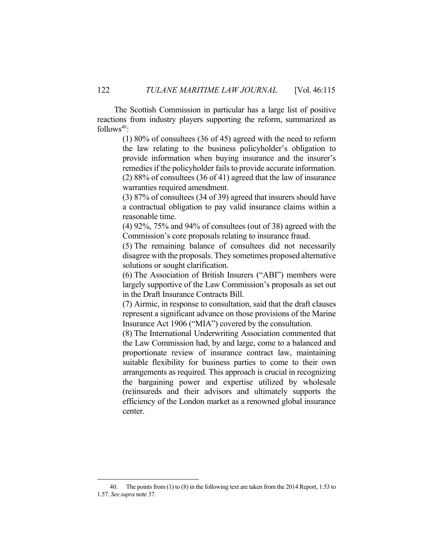The Scottish Commission in particular has a large list of positive reactions from industry players supporting the reform, summarized as  $follows<sup>40</sup>$ :

> (1) 80% of consultees (36 of 45) agreed with the need to reform the law relating to the business policyholder's obligation to provide information when buying insurance and the insurer's remedies if the policyholder fails to provide accurate information. (2) 88% of consultees (36 of 41) agreed that the law of insurance warranties required amendment.

> (3) 87% of consultees (34 of 39) agreed that insurers should have a contractual obligation to pay valid insurance claims within a reasonable time.

> (4) 92%, 75% and 94% of consultees (out of 38) agreed with the Commission's core proposals relating to insurance fraud.

> (5) The remaining balance of consultees did not necessarily disagree with the proposals. They sometimes proposed alternative solutions or sought clarification.

> (6) The Association of British Insurers ("ABI") members were largely supportive of the Law Commission's proposals as set out in the Draft Insurance Contracts Bill.

> (7) Airmic, in response to consultation, said that the draft clauses represent a significant advance on those provisions of the Marine Insurance Act 1906 ("MIA") covered by the consultation.

> (8) The International Underwriting Association commented that the Law Commission had, by and large, come to a balanced and proportionate review of insurance contract law, maintaining suitable flexibility for business parties to come to their own arrangements as required. This approach is crucial in recognizing the bargaining power and expertise utilized by wholesale (re)insureds and their advisors and ultimately supports the efficiency of the London market as a renowned global insurance center.

<sup>40.</sup> The points from (1) to (8) in the following text are taken from the 2014 Report, 1.53 to 1.57. *See supra* note 37.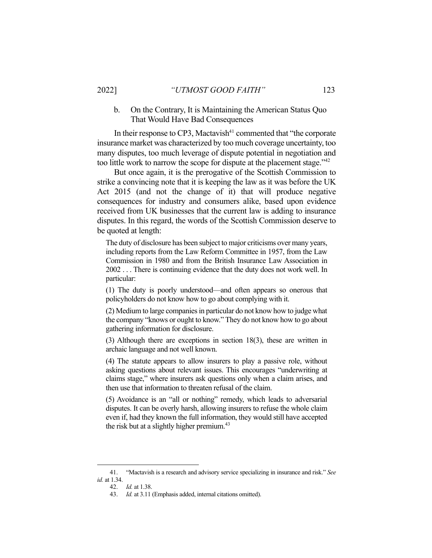# b. On the Contrary, It is Maintaining the American Status Quo That Would Have Bad Consequences

In their response to CP3, Mactavish $41$  commented that "the corporate" insurance market was characterized by too much coverage uncertainty, too many disputes, too much leverage of dispute potential in negotiation and too little work to narrow the scope for dispute at the placement stage."<sup>42</sup>

But once again, it is the prerogative of the Scottish Commission to strike a convincing note that it is keeping the law as it was before the UK Act 2015 (and not the change of it) that will produce negative consequences for industry and consumers alike, based upon evidence received from UK businesses that the current law is adding to insurance disputes. In this regard, the words of the Scottish Commission deserve to be quoted at length:

The duty of disclosure has been subject to major criticisms over many years, including reports from the Law Reform Committee in 1957, from the Law Commission in 1980 and from the British Insurance Law Association in 2002 . . . There is continuing evidence that the duty does not work well. In particular:

(1) The duty is poorly understood—and often appears so onerous that policyholders do not know how to go about complying with it.

(2) Medium to large companies in particular do not know how to judge what the company "knows or ought to know." They do not know how to go about gathering information for disclosure.

(3) Although there are exceptions in section 18(3), these are written in archaic language and not well known.

(4) The statute appears to allow insurers to play a passive role, without asking questions about relevant issues. This encourages "underwriting at claims stage," where insurers ask questions only when a claim arises, and then use that information to threaten refusal of the claim.

(5) Avoidance is an "all or nothing" remedy, which leads to adversarial disputes. It can be overly harsh, allowing insurers to refuse the whole claim even if, had they known the full information, they would still have accepted the risk but at a slightly higher premium. $43$ 

<sup>41.</sup> "Mactavish is a research and advisory service specializing in insurance and risk." *See id.* at 1.34.

<sup>42.</sup> *Id.* at 1.38.

<sup>43.</sup> *Id.* at 3.11 (Emphasis added, internal citations omitted).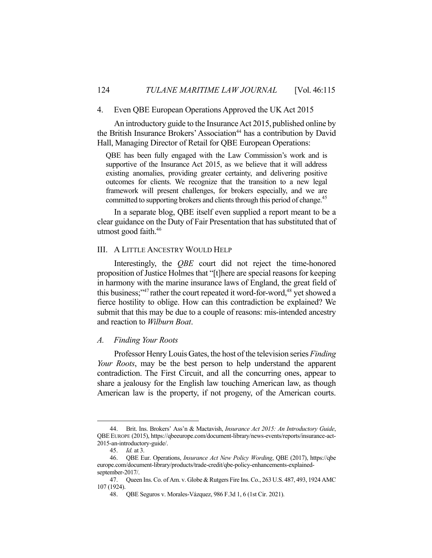#### 4. Even QBE European Operations Approved the UK Act 2015

An introductory guide to the Insurance Act 2015, published online by the British Insurance Brokers' Association<sup>44</sup> has a contribution by David Hall, Managing Director of Retail for QBE European Operations:

QBE has been fully engaged with the Law Commission's work and is supportive of the Insurance Act 2015, as we believe that it will address existing anomalies, providing greater certainty, and delivering positive outcomes for clients. We recognize that the transition to a new legal framework will present challenges, for brokers especially, and we are committed to supporting brokers and clients through this period of change.<sup>45</sup>

In a separate blog, QBE itself even supplied a report meant to be a clear guidance on the Duty of Fair Presentation that has substituted that of utmost good faith.46

# III. A LITTLE ANCESTRY WOULD HELP

Interestingly, the *QBE* court did not reject the time-honored proposition of Justice Holmes that "[t]here are special reasons for keeping in harmony with the marine insurance laws of England, the great field of this business;" $47$  rather the court repeated it word-for-word, $48$  yet showed a fierce hostility to oblige. How can this contradiction be explained? We submit that this may be due to a couple of reasons: mis-intended ancestry and reaction to *Wilburn Boat*.

#### *A. Finding Your Roots*

Professor Henry Louis Gates, the host of the television series *Finding Your Roots*, may be the best person to help understand the apparent contradiction. The First Circuit, and all the concurring ones, appear to share a jealousy for the English law touching American law, as though American law is the property, if not progeny, of the American courts.

<sup>44.</sup> Brit. Ins. Brokers' Ass'n & Mactavish, *Insurance Act 2015: An Introductory Guide*, QBE EUROPE (2015), https://qbeeurope.com/document-library/news-events/reports/insurance-act-2015-an-introductory-guide/.

<sup>45.</sup> *Id.* at 3.

<sup>46.</sup> QBE Eur. Operations, *Insurance Act New Policy Wording*, QBE (2017), https://qbe europe.com/document-library/products/trade-credit/qbe-policy-enhancements-explainedseptember-2017/.

<sup>47.</sup> Queen Ins. Co. of Am. v. Globe & Rutgers Fire Ins. Co., 263 U.S. 487, 493, 1924 AMC 107 (1924).

<sup>48.</sup> QBE Seguros v. Morales-Vázquez, 986 F.3d 1, 6 (1st Cir. 2021).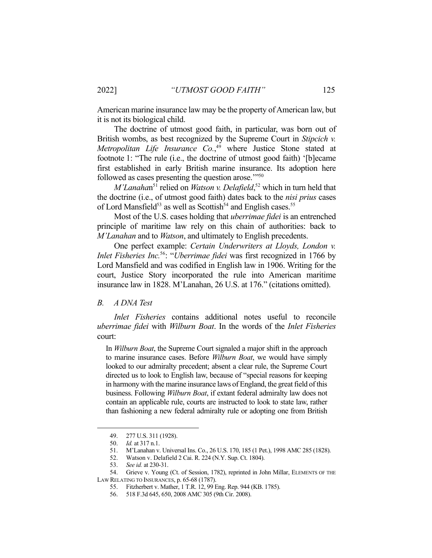American marine insurance law may be the property of American law, but it is not its biological child.

The doctrine of utmost good faith, in particular, was born out of British wombs, as best recognized by the Supreme Court in *Stipcich v. Metropolitan Life Insurance Co.*, <sup>49</sup> where Justice Stone stated at footnote 1: "The rule (i.e., the doctrine of utmost good faith) '[b]ecame first established in early British marine insurance. Its adoption here followed as cases presenting the question arose."<sup>50</sup>

*M'Lanaha*n<sup>51</sup> relied on *Watson v. Delafield*,<sup>52</sup> which in turn held that the doctrine (i.e., of utmost good faith) dates back to the *nisi prius* cases of Lord Mansfield<sup>53</sup> as well as Scottish<sup>54</sup> and English cases.<sup>55</sup>

Most of the U.S. cases holding that *uberrimae fidei* is an entrenched principle of maritime law rely on this chain of authorities: back to *M'Lanahan* and to *Watson*, and ultimately to English precedents.

One perfect example: *Certain Underwriters at Lloyds, London v. Inlet Fisheries Inc.*56: "*Uberrimae fidei* was first recognized in 1766 by Lord Mansfield and was codified in English law in 1906. Writing for the court, Justice Story incorporated the rule into American maritime insurance law in 1828. M'Lanahan, 26 U.S. at 176." (citations omitted).

#### *B. A DNA Test*

*Inlet Fisheries* contains additional notes useful to reconcile *uberrimae fidei* with *Wilburn Boat*. In the words of the *Inlet Fisheries* court:

In *Wilburn Boat*, the Supreme Court signaled a major shift in the approach to marine insurance cases. Before *Wilburn Boat*, we would have simply looked to our admiralty precedent; absent a clear rule, the Supreme Court directed us to look to English law, because of "special reasons for keeping in harmony with the marine insurance laws of England, the great field of this business. Following *Wilburn Boat*, if extant federal admiralty law does not contain an applicable rule, courts are instructed to look to state law, rather than fashioning a new federal admiralty rule or adopting one from British

<sup>49.</sup> 277 U.S. 311 (1928).

<sup>50.</sup> *Id.* at 317 n.1.

<sup>51.</sup> M'Lanahan v. Universal Ins. Co., 26 U.S. 170, 185 (1 Pet.), 1998 AMC 285 (1828).

<sup>52.</sup> Watson v. Delafield 2 Cai. R. 224 (N.Y. Sup. Ct. 1804).

<sup>53.</sup> *See id.* at 230-31.

<sup>54.</sup> Grieve v. Young (Ct. of Session, 1782), reprinted in John Millar, ELEMENTS OF THE

LAW RELATING TO INSURANCES, p. 65-68 (1787).

<sup>55.</sup> Fitzherbert v. Mather, 1 T.R. 12, 99 Eng. Rep. 944 (KB. 1785).

<sup>56.</sup> 518 F.3d 645, 650, 2008 AMC 305 (9th Cir. 2008).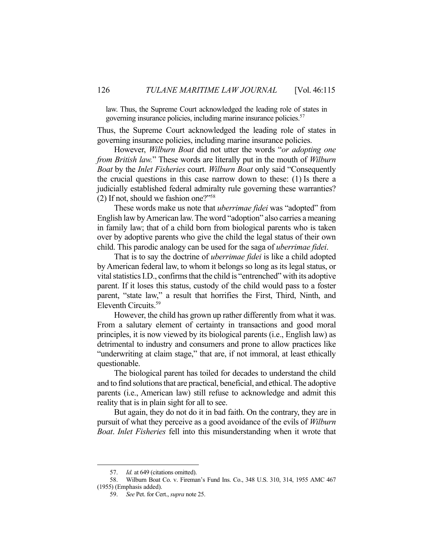law. Thus, the Supreme Court acknowledged the leading role of states in governing insurance policies, including marine insurance policies. 57

Thus, the Supreme Court acknowledged the leading role of states in governing insurance policies, including marine insurance policies.

However, *Wilburn Boat* did not utter the words "*or adopting one from British law.*" These words are literally put in the mouth of *Wilburn Boat* by the *Inlet Fisheries* court. *Wilburn Boat* only said "Consequently the crucial questions in this case narrow down to these: (1) Is there a judicially established federal admiralty rule governing these warranties? (2) If not, should we fashion one?"58

These words make us note that *uberrimae fidei* was "adopted" from English law by American law. The word "adoption" also carries a meaning in family law; that of a child born from biological parents who is taken over by adoptive parents who give the child the legal status of their own child. This parodic analogy can be used for the saga of *uberrimae fidei*.

That is to say the doctrine of *uberrimae fidei* is like a child adopted by American federal law, to whom it belongs so long as its legal status, or vital statistics I.D., confirms that the child is "entrenched" with its adoptive parent. If it loses this status, custody of the child would pass to a foster parent, "state law," a result that horrifies the First, Third, Ninth, and Eleventh Circuits.59

However, the child has grown up rather differently from what it was. From a salutary element of certainty in transactions and good moral principles, it is now viewed by its biological parents (i.e., English law) as detrimental to industry and consumers and prone to allow practices like "underwriting at claim stage," that are, if not immoral, at least ethically questionable.

The biological parent has toiled for decades to understand the child and to find solutions that are practical, beneficial, and ethical.The adoptive parents (i.e., American law) still refuse to acknowledge and admit this reality that is in plain sight for all to see.

But again, they do not do it in bad faith. On the contrary, they are in pursuit of what they perceive as a good avoidance of the evils of *Wilburn Boat*. *Inlet Fisheries* fell into this misunderstanding when it wrote that

<sup>57.</sup> *Id.* at 649 (citations omitted).

<sup>58.</sup> Wilburn Boat Co. v. Fireman's Fund Ins. Co., 348 U.S. 310, 314, 1955 AMC 467 (1955) (Emphasis added).

<sup>59.</sup> *See* Pet. for Cert., *supra* note 25.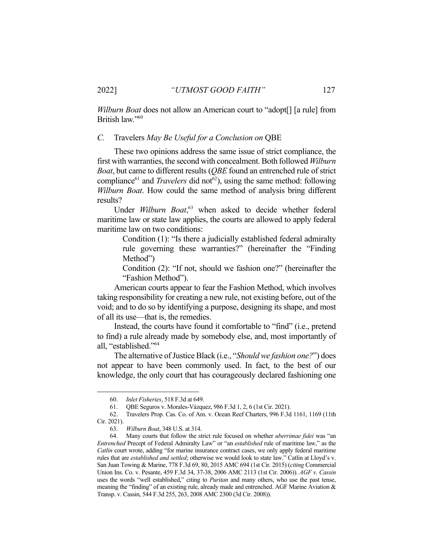*Wilburn Boat* does not allow an American court to "adopt[] [a rule] from British law."60

### *C.* Travelers *May Be Useful for a Conclusion on* QBE

These two opinions address the same issue of strict compliance, the first with warranties, the second with concealment. Both followed *Wilburn Boat*, but came to different results (*QBE* found an entrenched rule of strict compliance<sup>61</sup> and *Travelers* did not<sup>62</sup>), using the same method: following *Wilburn Boat*. How could the same method of analysis bring different results?

Under Wilburn Boat,<sup>63</sup> when asked to decide whether federal maritime law or state law applies, the courts are allowed to apply federal maritime law on two conditions:

> Condition (1): "Is there a judicially established federal admiralty rule governing these warranties?" (hereinafter the "Finding Method")

> Condition (2): "If not, should we fashion one?" (hereinafter the "Fashion Method").

American courts appear to fear the Fashion Method, which involves taking responsibility for creating a new rule, not existing before, out of the void; and to do so by identifying a purpose, designing its shape, and most of all its use—that is, the remedies.

Instead, the courts have found it comfortable to "find" (i.e., pretend to find) a rule already made by somebody else, and, most importantly of all, "established."64

The alternative of Justice Black (i.e., "*Should we fashion one?*") does not appear to have been commonly used. In fact, to the best of our knowledge, the only court that has courageously declared fashioning one

<sup>60.</sup> *Inlet Fisheries*, 518 F.3d at 649.

<sup>61.</sup> QBE Seguros v. Morales-Vázquez, 986 F.3d 1, 2, 6 (1st Cir. 2021).

<sup>62.</sup> Travelers Prop. Cas. Co. of Am. v. Ocean Reef Charters, 996 F.3d 1161, 1169 (11th

Cir. 2021).

<sup>63.</sup> *Wilburn Boat*, 348 U.S. at 314.

<sup>64.</sup> Many courts that follow the strict rule focused on whether *uberrimae fidei* was "an *Entrenched* Precept of Federal Admiralty Law" or "an *established* rule of maritime law," as the *Catlin* court wrote, adding "for marine insurance contract cases, we only apply federal maritime rules that are *established and settled*; otherwise we would look to state law." Catlin at Lloyd's v. San Juan Towing & Marine, 778 F.3d 69, 80, 2015 AMC 694 (1st Cir. 2015) (*citing* Commercial Union Ins. Co. v. Pesante, 459 F.3d 34, 37-38, 2006 AMC 2113 (1st Cir. 2006)). *AGF v. Cassin* uses the words "well established," citing to *Puritan* and many others, who use the past tense, meaning the "finding" of an existing rule, already made and entrenched. AGF Marine Aviation & Transp. v. Cassin, 544 F.3d 255, 263, 2008 AMC 2300 (3d Cir. 2008)).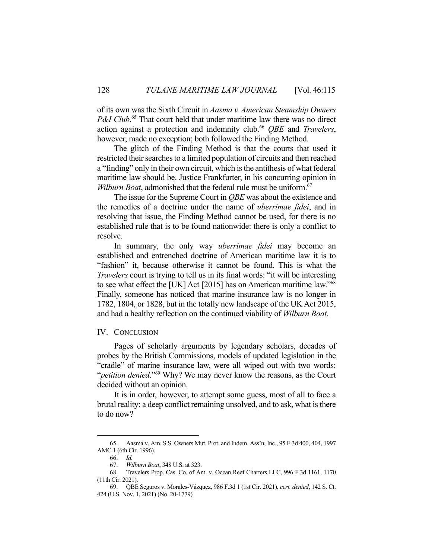of its own was the Sixth Circuit in *Aasma v. American Steamship Owners*  P&I Club.<sup>65</sup> That court held that under maritime law there was no direct action against a protection and indemnity club.66 *QBE* and *Travelers*, however, made no exception; both followed the Finding Method.

The glitch of the Finding Method is that the courts that used it restricted their searches to a limited population of circuits and then reached a "finding" only in their own circuit, which is the antithesis of what federal maritime law should be. Justice Frankfurter, in his concurring opinion in *Wilburn Boat*, admonished that the federal rule must be uniform.<sup>67</sup>

The issue for the Supreme Court in *QBE* was about the existence and the remedies of a doctrine under the name of *uberrimae fidei*, and in resolving that issue, the Finding Method cannot be used, for there is no established rule that is to be found nationwide: there is only a conflict to resolve.

In summary, the only way *uberrimae fidei* may become an established and entrenched doctrine of American maritime law it is to "fashion" it, because otherwise it cannot be found. This is what the *Travelers* court is trying to tell us in its final words: "it will be interesting to see what effect the [UK] Act [2015] has on American maritime law."68 Finally, someone has noticed that marine insurance law is no longer in 1782, 1804, or 1828, but in the totally new landscape of the UK Act 2015, and had a healthy reflection on the continued viability of *Wilburn Boat*.

#### IV. CONCLUSION

Pages of scholarly arguments by legendary scholars, decades of probes by the British Commissions, models of updated legislation in the "cradle" of marine insurance law, were all wiped out with two words: "*petition denied*."69 Why? We may never know the reasons, as the Court decided without an opinion.

It is in order, however, to attempt some guess, most of all to face a brutal reality: a deep conflict remaining unsolved, and to ask, what is there to do now?

<sup>65.</sup> Aasma v. Am. S.S. Owners Mut. Prot. and Indem. Ass'n, Inc., 95 F.3d 400, 404, 1997 AMC 1 (6th Cir. 1996).

<sup>66.</sup> *Id.*

<sup>67.</sup> *Wilburn Boat*, 348 U.S. at 323.

<sup>68.</sup> Travelers Prop. Cas. Co. of Am. v. Ocean Reef Charters LLC, 996 F.3d 1161, 1170 (11th Cir. 2021).

<sup>69.</sup> QBE Seguros v. Morales-Vázquez, 986 F.3d 1 (1st Cir. 2021), *cert. denied*, 142 S. Ct. 424 (U.S. Nov. 1, 2021) (No. 20-1779)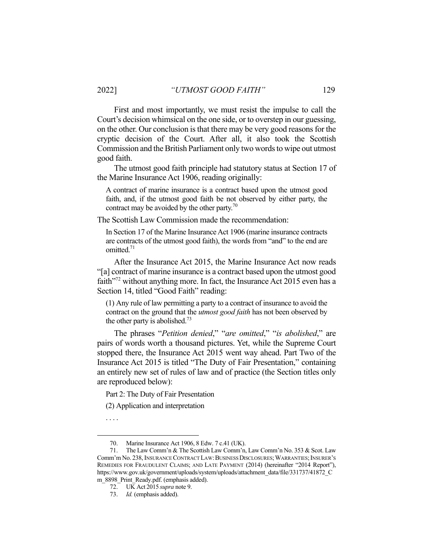First and most importantly, we must resist the impulse to call the Court's decision whimsical on the one side, or to overstep in our guessing, on the other. Our conclusion is that there may be very good reasons for the cryptic decision of the Court. After all, it also took the Scottish Commission and the British Parliament only two words to wipe out utmost good faith.

The utmost good faith principle had statutory status at Section 17 of the Marine Insurance Act 1906, reading originally:

A contract of marine insurance is a contract based upon the utmost good faith, and, if the utmost good faith be not observed by either party, the contract may be avoided by the other party.<sup>70</sup>

The Scottish Law Commission made the recommendation:

In Section 17 of the Marine Insurance Act 1906 (marine insurance contracts are contracts of the utmost good faith), the words from "and" to the end are omitted. 71

After the Insurance Act 2015, the Marine Insurance Act now reads "[a] contract of marine insurance is a contract based upon the utmost good faith<sup>"72</sup> without anything more. In fact, the Insurance Act 2015 even has a Section 14, titled "Good Faith" reading:

(1) Any rule of law permitting a party to a contract of insurance to avoid the contract on the ground that the *utmost good faith* has not been observed by the other party is abolished.<sup>73</sup>

The phrases "*Petition denied*," "*are omitted*," "*is abolished*," are pairs of words worth a thousand pictures. Yet, while the Supreme Court stopped there, the Insurance Act 2015 went way ahead. Part Two of the Insurance Act 2015 is titled "The Duty of Fair Presentation," containing an entirely new set of rules of law and of practice (the Section titles only are reproduced below):

Part 2: The Duty of Fair Presentation

(2) Application and interpretation

. . . .

<sup>70.</sup> Marine Insurance Act 1906, 8 Edw. 7 c.41 (UK).

<sup>71.</sup> The Law Comm'n & The Scottish Law Comm'n, Law Comm'n No. 353 & Scot. Law Comm'm No. 238, INSURANCE CONTRACT LAW: BUSINESS DISCLOSURES; WARRANTIES; INSURER'S REMEDIES FOR FRAUDULENT CLAIMS; AND LATE PAYMENT (2014) (hereinafter "2014 Report"), https://www.gov.uk/government/uploads/system/uploads/attachment\_data/file/331737/41872\_C m 8898 Print Ready.pdf. (emphasis added).

<sup>72.</sup> UK Act 2015 *supra* note 9.

<sup>73.</sup> *Id.* (emphasis added).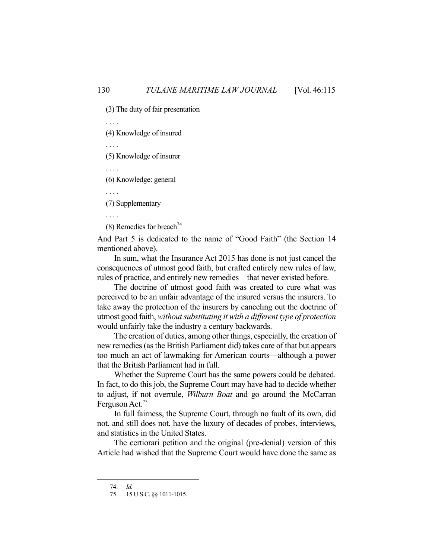(3) The duty of fair presentation

. . . .

(4) Knowledge of insured

. . . .

(5) Knowledge of insurer

. . . .

(6) Knowledge: general

. . . .

(7) Supplementary

. . . .

(8) Remedies for breach<sup>74</sup>

And Part 5 is dedicated to the name of "Good Faith" (the Section 14 mentioned above).

In sum, what the Insurance Act 2015 has done is not just cancel the consequences of utmost good faith, but crafted entirely new rules of law, rules of practice, and entirely new remedies—that never existed before.

The doctrine of utmost good faith was created to cure what was perceived to be an unfair advantage of the insured versus the insurers. To take away the protection of the insurers by canceling out the doctrine of utmost good faith, *without substituting it with a different type of protection* would unfairly take the industry a century backwards.

The creation of duties, among other things, especially, the creation of new remedies (as the British Parliament did) takes care of that but appears too much an act of lawmaking for American courts—although a power that the British Parliament had in full.

Whether the Supreme Court has the same powers could be debated. In fact, to do this job, the Supreme Court may have had to decide whether to adjust, if not overrule, *Wilburn Boat* and go around the McCarran Ferguson Act.75

In full fairness, the Supreme Court, through no fault of its own, did not, and still does not, have the luxury of decades of probes, interviews, and statistics in the United States.

The certiorari petition and the original (pre-denial) version of this Article had wished that the Supreme Court would have done the same as

<sup>74.</sup> *Id.*

<sup>75.</sup> 15 U.S.C. §§ 1011-1015.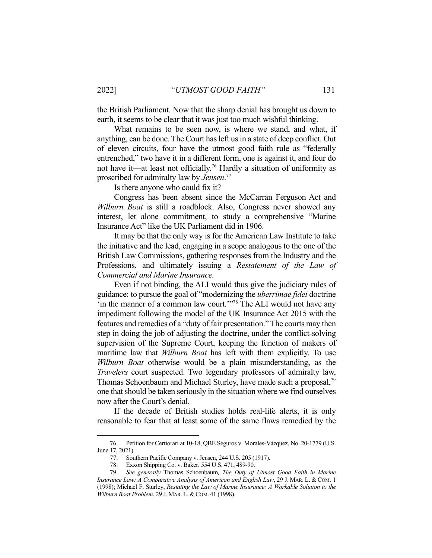the British Parliament. Now that the sharp denial has brought us down to earth, it seems to be clear that it was just too much wishful thinking.

What remains to be seen now, is where we stand, and what, if anything, can be done. The Court has left us in a state of deep conflict. Out of eleven circuits, four have the utmost good faith rule as "federally entrenched," two have it in a different form, one is against it, and four do not have it—at least not officially.76 Hardly a situation of uniformity as proscribed for admiralty law by *Jensen*. 77

Is there anyone who could fix it?

Congress has been absent since the McCarran Ferguson Act and *Wilburn Boat* is still a roadblock. Also, Congress never showed any interest, let alone commitment, to study a comprehensive "Marine Insurance Act" like the UK Parliament did in 1906.

It may be that the only way is for the American Law Institute to take the initiative and the lead, engaging in a scope analogous to the one of the British Law Commissions, gathering responses from the Industry and the Professions, and ultimately issuing a *Restatement of the Law of Commercial and Marine Insurance.*

Even if not binding, the ALI would thus give the judiciary rules of guidance: to pursue the goal of "modernizing the *uberrimae fidei* doctrine 'in the manner of a common law court.'"78 The ALI would not have any impediment following the model of the UK Insurance Act 2015 with the features and remedies of a "duty of fair presentation." The courts may then step in doing the job of adjusting the doctrine, under the conflict-solving supervision of the Supreme Court, keeping the function of makers of maritime law that *Wilburn Boat* has left with them explicitly. To use *Wilburn Boat* otherwise would be a plain misunderstanding, as the *Travelers* court suspected. Two legendary professors of admiralty law, Thomas Schoenbaum and Michael Sturley, have made such a proposal,<sup>79</sup> one that should be taken seriously in the situation where we find ourselves now after the Court's denial.

If the decade of British studies holds real-life alerts, it is only reasonable to fear that at least some of the same flaws remedied by the

<sup>76.</sup> Petition for Certiorari at 10-18, QBE Seguros v. Morales-Vázquez, No. 20-1779 (U.S. June 17, 2021).

<sup>77.</sup> Southern Pacific Company v. Jensen, 244 U.S. 205 (1917).

<sup>78.</sup> Exxon Shipping Co. v. Baker, 554 U.S. 471, 489-90.

<sup>79.</sup> *See generally* Thomas Schoenbaum*, The Duty of Utmost Good Faith in Marine Insurance Law: A Comparative Analysis of American and English Law*, 29 J. MAR. L. & COM. 1 (1998); Michael F. Sturley, *Restating the Law of Marine Insurance: A Workable Solution to the Wilburn Boat Problem, 29 J. MAR. L. & COM. 41 (1998).*